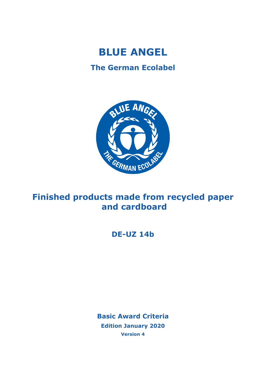

## **The German Ecolabel**



# **Finished products made from recycled paper and cardboard**

## **DE-UZ 14b**

**Basic Award Criteria Edition January 2020 Version 4**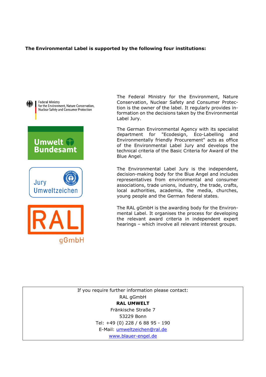#### **The Environmental Label is supported by the following four institutions:**



The Federal Ministry for the Environment, Nature Conservation, Nuclear Safety and Consumer Protection is the owner of the label. It regularly provides information on the decisions taken by the Environmental Label Jury.

The German Environmental Agency with its specialist department for "Ecodesign, Eco-Labelling and Environmentally friendly Procurement" acts as office of the Environmental Label Jury and develops the technical criteria of the Basic Criteria for Award of the Blue Angel.

The Environmental Label Jury is the independent, decision-making body for the Blue Angel and includes representatives from environmental and consumer associations, trade unions, industry, the trade, crafts, local authorities, academia, the media, churches, young people and the German federal states.

The RAL gGmbH is the awarding body for the Environmental Label. It organises the process for developing the relevant award criteria in independent expert hearings – which involve all relevant interest groups.

If you require further information please contact: RAL gGmbH **RAL UMWELT** Fränkische Straße 7 53229 Bonn Tel: +49 (0) 228 / 6 88 95 - 190 E-Mail: [umweltzeichen@ral.de](mailto:umweltzeichen@ral.de) [www.blauer-engel.de](http://www.blauer-engel.de/)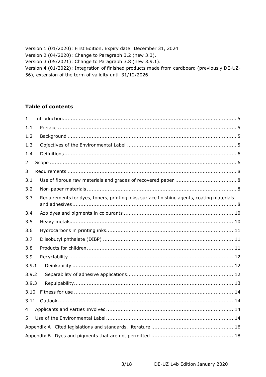Version 1 (01/2020): First Edition, Expiry date: December 31, 2024 Version 2 (04/2020): Change to Paragraph 3.2 (new 3.3). Version 3 (05/2021): Change to Paragraph 3.8 (new 3.9.1). Version 4 (01/2022): Integration of finished products made from cardboard (previously DE-UZ-56), extension of the term of validity until 31/12/2026.

## **Table of contents**

| $\mathbf{1}$   |                                                                                           |  |  |  |  |  |
|----------------|-------------------------------------------------------------------------------------------|--|--|--|--|--|
| 1.1            |                                                                                           |  |  |  |  |  |
| 1.2            |                                                                                           |  |  |  |  |  |
| 1.3            |                                                                                           |  |  |  |  |  |
| 1.4            |                                                                                           |  |  |  |  |  |
| $\overline{2}$ |                                                                                           |  |  |  |  |  |
| 3              |                                                                                           |  |  |  |  |  |
| 3.1            |                                                                                           |  |  |  |  |  |
| 3.2            |                                                                                           |  |  |  |  |  |
| 3.3            | Requirements for dyes, toners, printing inks, surface finishing agents, coating materials |  |  |  |  |  |
| 3.4            |                                                                                           |  |  |  |  |  |
| 3.5            |                                                                                           |  |  |  |  |  |
| 3.6            |                                                                                           |  |  |  |  |  |
| 3.7            |                                                                                           |  |  |  |  |  |
| 3.8            |                                                                                           |  |  |  |  |  |
| 3.9            |                                                                                           |  |  |  |  |  |
|                | 3.9.1                                                                                     |  |  |  |  |  |
| 3.9.2          |                                                                                           |  |  |  |  |  |
| 3.9.3          |                                                                                           |  |  |  |  |  |
| 3.10           |                                                                                           |  |  |  |  |  |
| 3.11           |                                                                                           |  |  |  |  |  |
| 4              |                                                                                           |  |  |  |  |  |
| 5              |                                                                                           |  |  |  |  |  |
|                |                                                                                           |  |  |  |  |  |
|                |                                                                                           |  |  |  |  |  |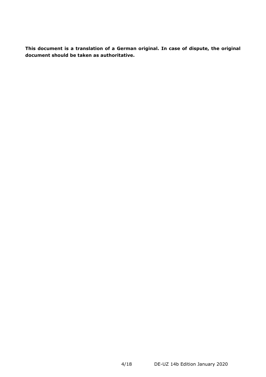**This document is a translation of a German original. In case of dispute, the original document should be taken as authoritative.**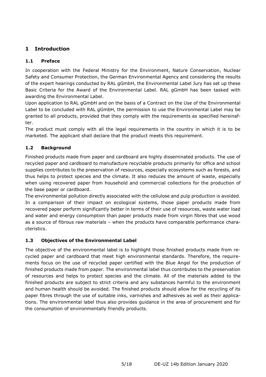## <span id="page-4-0"></span>**1 Introduction**

## <span id="page-4-1"></span>**1.1 Preface**

In cooperation with the Federal Ministry for the Environment, Nature Conservation, Nuclear Safety and Consumer Protection, the German Environmental Agency and considering the results of the expert hearings conducted by RAL gGmbH, the Environmental Label Jury has set up these Basic Criteria for the Award of the Environmental Label. RAL gGmbH has been tasked with awarding the Environmental Label.

Upon application to RAL gGmbH and on the basis of a Contract on the Use of the Environmental Label to be concluded with RAL gGmbH, the permission to use the Environmental Label may be granted to all products, provided that they comply with the requirements as specified hereinafter.

The product must comply with all the legal requirements in the country in which it is to be marketed. The applicant shall declare that the product meets this requirement.

## <span id="page-4-2"></span>**1.2 Background**

Finished products made from paper and cardboard are highly disseminated products. The use of recycled paper and cardboard to manufacture recyclable products primarily for office and school supplies contributes to the preservation of resources, especially ecosystems such as forests, and thus helps to protect species and the climate. It also reduces the amount of waste, especially when using recovered paper from household and commercial collections for the production of the base paper or cardboard.

The environmental pollution directly associated with the cellulose and pulp production is avoided. In a comparison of their impact on ecological systems, those paper products made from recovered paper perform significantly better in terms of their use of resources, waste water load and water and energy consumption than paper products made from virgin fibres that use wood as a source of fibrous raw materials – when the products have comparable performance characteristics.

## <span id="page-4-3"></span>**1.3 Objectives of the Environmental Label**

The objective of the environmental label is to highlight those finished products made from recycled paper and cardboard that meet high environmental standards. Therefore, the requirements focus on the use of recycled paper certified with the Blue Angel for the production of finished products made from paper. The environmental label thus contributes to the preservation of resources and helps to protect species and the climate. All of the materials added to the finished products are subject to strict criteria and any substances harmful to the environment and human health should be avoided. The finished products should allow for the recycling of its paper fibres through the use of suitable inks, varnishes and adhesives as well as their applications. The environmental label thus also provides guidance in the area of procurement and for the consumption of environmentally friendly products.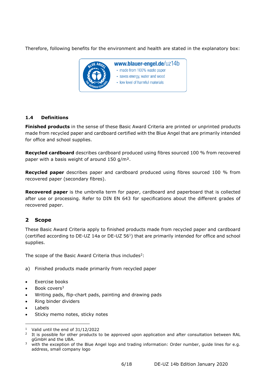Therefore, following benefits for the environment and health are stated in the explanatory box:



#### <span id="page-5-0"></span>**1.4 Definitions**

**Finished products** in the sense of these Basic Award Criteria are printed or unprinted products made from recycled paper and cardboard certified with the Blue Angel that are primarily intended for office and school supplies.

**Recycled cardboard** describes cardboard produced using fibres sourced 100 % from recovered paper with a basis weight of around 150 g/m².

**Recycled paper** describes paper and cardboard produced using fibres sourced 100 % from recovered paper (secondary fibres).

**Recovered paper** is the umbrella term for paper, cardboard and paperboard that is collected after use or processing. Refer to DIN EN 643 for specifications about the different grades of recovered paper.

## <span id="page-5-1"></span>**2 Scope**

These Basic Award Criteria apply to finished products made from recycled paper and cardboard (certified according to DE-UZ 14a or DE-UZ 56<sup>1</sup>) that are primarily intended for office and school supplies.

The scope of the Basic Award Criteria thus includes<sup>2</sup>:

- a) Finished products made primarily from recycled paper
- Exercise books
- Book covers<sup>3</sup>
- Writing pads, flip-chart pads, painting and drawing pads
- Ring binder dividers
- **Labels**

-

• Sticky memo notes, sticky notes

<sup>1</sup> Valid until the end of 31/12/2022

<sup>&</sup>lt;sup>2</sup> It is possible for other products to be approved upon application and after consultation between RAL gGmbH and the UBA.

 $3$  with the exception of the Blue Angel logo and trading information: Order number, guide lines for e.g. address, small company logo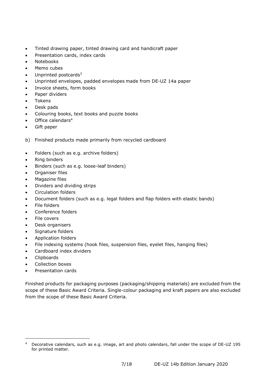- Tinted drawing paper, tinted drawing card and handicraft paper
- Presentation cards, index cards
- Notebooks
- Memo cubes
- Unprinted postcards<sup>3</sup>
- Unprinted envelopes, padded envelopes made from DE-UZ 14a paper
- Invoice sheets, form books
- Paper dividers
- Tokens
- Desk pads
- Colouring books, text books and puzzle books
- Office calendars<sup>4</sup>
- Gift paper
- b) Finished products made primarily from recycled cardboard
- Folders (such as e.g. archive folders)
- Ring binders
- Binders (such as e.g. loose-leaf binders)
- Organiser files
- Magazine files
- Dividers and dividing strips
- Circulation folders
- Document folders (such as e.g. legal folders and flap folders with elastic bands)
- File folders
- Conference folders
- File covers
- Desk organisers
- Signature folders
- Application folders
- File indexing systems (hook files, suspension files, eyelet files, hanging files)
- Cardboard index dividers
- Clipboards

-

- Collection boxes
- Presentation cards

Finished products for packaging purposes (packaging/shipping materials) are excluded from the scope of these Basic Award Criteria. Single-colour packaging and kraft papers are also excluded from the scope of these Basic Award Criteria.

<sup>4</sup> Decorative calendars, such as e.g. image, art and photo calendars, fall under the scope of DE-UZ 195 for printed matter.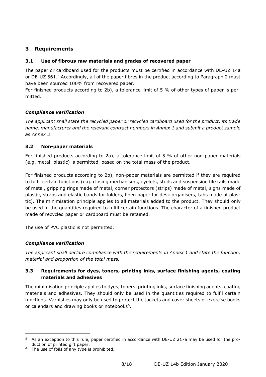## <span id="page-7-0"></span>**3 Requirements**

## <span id="page-7-1"></span>**3.1 Use of fibrous raw materials and grades of recovered paper**

The paper or cardboard used for the products must be certified in accordance with DE-UZ 14a or DE-UZ 561.<sup>5</sup> Accordingly, all of the paper fibres in the product according to Paragraph 2 must have been sourced 100% from recovered paper.

For finished products according to 2b), a tolerance limit of 5 % of other types of paper is permitted.

## *Compliance verification*

*The applicant shall state the recycled paper or recycled cardboard used for the product, its trade name, manufacturer and the relevant contract numbers in Annex 1 and submit a product sample as Annex 2.*

## <span id="page-7-2"></span>**3.2 Non-paper materials**

For finished products according to 2a), a tolerance limit of 5 % of other non-paper materials (e.g. metal, plastic) is permitted, based on the total mass of the product.

For finished products according to 2b), non-paper materials are permitted if they are required to fulfil certain functions (e.g. closing mechanisms, eyelets, studs and suspension file rails made of metal, gripping rings made of metal, corner protectors (strips) made of metal, signs made of plastic, straps and elastic bands for folders, linen paper for desk organisers, tabs made of plastic). The minimisation principle applies to all materials added to the product. They should only be used in the quantities required to fulfil certain functions. The character of a finished product made of recycled paper or cardboard must be retained.

The use of PVC plastic is not permitted.

## *Compliance verification*

*The applicant shall declare compliance with the requirements in Annex 1 and state the function, material and proportion of the total mass.*

## <span id="page-7-3"></span>**3.3 Requirements for dyes, toners, printing inks, surface finishing agents, coating materials and adhesives**

The minimisation principle applies to dyes, toners, printing inks, surface finishing agents, coating materials and adhesives. They should only be used in the quantities required to fulfil certain functions. Varnishes may only be used to protect the jackets and cover sheets of exercise books or calendars and drawing books or notebooks<sup>6</sup>.

-

<sup>5</sup> As an exception to this rule, paper certified in accordance with DE-UZ 217a may be used for the production of printed gift paper.

<sup>&</sup>lt;sup>6</sup> The use of foils of any type is prohibited.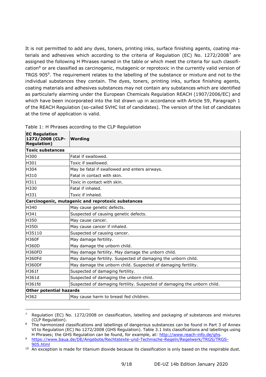It is not permitted to add any dyes, toners, printing inks, surface finishing agents, coating materials and adhesives which according to the criteria of Regulation (EC) No. 1272/2008<sup>7</sup> are assigned the following H Phrases named in the table or which meet the criteria for such classification<sup>8</sup> or are classified as carcinogenic, mutagenic or reprotoxic in the currently valid version of TRGS 905<sup>9</sup>. The requirement relates to the labelling of the substance or mixture and not to the individual substances they contain. The dyes, toners, printing inks, surface finishing agents, coating materials and adhesives substances may not contain any substances which are identified as particularly alarming under the European Chemicals Regulation REACH (1907/2006/EC) and which have been incorporated into the list drawn up in accordance with Article 59, Paragraph 1 of the REACH Regulation (so-called SVHC list of candidates). The version of the list of candidates at the time of application is valid.

| <b>EC Regulation</b><br>1272/2008 (CLP-<br><b>Regulation</b> ) | <b>Wording</b>                                                           |  |  |  |  |  |  |  |
|----------------------------------------------------------------|--------------------------------------------------------------------------|--|--|--|--|--|--|--|
| <b>Toxic substances</b>                                        |                                                                          |  |  |  |  |  |  |  |
| H300                                                           | Fatal if swallowed.                                                      |  |  |  |  |  |  |  |
| H301                                                           | Toxic if swallowed.                                                      |  |  |  |  |  |  |  |
| H304                                                           | May be fatal if swallowed and enters airways.                            |  |  |  |  |  |  |  |
| H310                                                           | Fatal in contact with skin.                                              |  |  |  |  |  |  |  |
| H311                                                           | Toxic in contact with skin.                                              |  |  |  |  |  |  |  |
| H330                                                           | Fatal if inhaled.                                                        |  |  |  |  |  |  |  |
| H331                                                           | Toxic if inhaled.                                                        |  |  |  |  |  |  |  |
| Carcinogenic, mutagenic and reprotoxic substances              |                                                                          |  |  |  |  |  |  |  |
| H340                                                           | May cause genetic defects.                                               |  |  |  |  |  |  |  |
| H341                                                           | Suspected of causing genetic defects.                                    |  |  |  |  |  |  |  |
| H350                                                           | May cause cancer.                                                        |  |  |  |  |  |  |  |
| H350i                                                          | May cause cancer if inhaled.                                             |  |  |  |  |  |  |  |
| H35110                                                         | Suspected of causing cancer.                                             |  |  |  |  |  |  |  |
| <b>H360F</b>                                                   | May damage fertility.                                                    |  |  |  |  |  |  |  |
| <b>H360D</b>                                                   | May damage the unborn child.                                             |  |  |  |  |  |  |  |
| H360FD                                                         | May damage fertility. May damage the unborn child.                       |  |  |  |  |  |  |  |
| H360Fd                                                         | May damage fertility. Suspected of damaging the unborn child.            |  |  |  |  |  |  |  |
| <b>H360Df</b>                                                  | May damage the unborn child. Suspected of damaging fertility.            |  |  |  |  |  |  |  |
| H361f                                                          | Suspected of damaging fertility.                                         |  |  |  |  |  |  |  |
| H361d                                                          | Suspected of damaging the unborn child.                                  |  |  |  |  |  |  |  |
| H361fd                                                         | Suspected of damaging fertility. Suspected of damaging the unborn child. |  |  |  |  |  |  |  |
| <b>Other potential hazards</b>                                 |                                                                          |  |  |  |  |  |  |  |
| H362                                                           | May cause harm to breast fed children.                                   |  |  |  |  |  |  |  |

| Table 1: H Phrases according to the CLP Regulation |  |  |  |  |
|----------------------------------------------------|--|--|--|--|
|----------------------------------------------------|--|--|--|--|

-

<sup>7</sup> Regulation (EC) No. 1272/2008 on classification, labelling and packaging of substances and mixtures (CLP Regulation).

<sup>&</sup>lt;sup>8</sup> The harmonized classifications and labellings of dangerous substances can be found in Part 3 of Annex VI to Regulation (EC) No 1272/2008 (GHS Regulation). Table 3.1 lists classifications and labellings using H Phrases; the GHS Regulation can be found, for example, at: [http://www.reach-info.de/ghs.](about:blank)

<sup>9</sup> [https://www.baua.de/DE/Angebote/Rechtstexte-und-Technische-Regeln/Regelwerk/TRGS/TRGS-](about:blank)[905.html](about:blank)

<sup>&</sup>lt;sup>10</sup> An exception is made for titanium dioxide because its classification is only based on the respirable dust.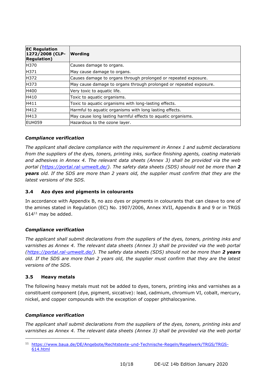| <b>EC Regulation</b><br>1272/2008 (CLP-<br><b>Regulation</b> ) | <b>Wording</b>                                                     |
|----------------------------------------------------------------|--------------------------------------------------------------------|
| H370                                                           | Causes damage to organs.                                           |
| H371                                                           | May cause damage to organs.                                        |
| H372                                                           | Causes damage to organs through prolonged or repeated exposure.    |
| H373                                                           | May cause damage to organs through prolonged or repeated exposure. |
| H400                                                           | Very toxic to aquatic life.                                        |
| H410                                                           | Toxic to aquatic organisms.                                        |
| H411                                                           | Toxic to aquatic organisms with long-lasting effects.              |
| H412                                                           | Harmful to aquatic organisms with long lasting effects.            |
| H413                                                           | May cause long lasting harmful effects to aquatic organisms.       |
| EUH059                                                         | Hazardous to the ozone layer.                                      |

#### *Compliance verification*

*The applicant shall declare compliance with the requirement in Annex 1 and submit declarations from the suppliers of the dyes, toners, printing inks, surface finishing agents, coating materials and adhesives in Annex 4. The relevant data sheets (Annex 3) shall be provided via the web portal [\(https://portal.ral-umwelt.de/\)](about:blank). The safety data sheets (SDS) should not be more than 2 years old. If the SDS are more than 2 years old, the supplier must confirm that they are the latest versions of the SDS.*

## <span id="page-9-0"></span>**3.4 Azo dyes and pigments in colourants**

In accordance with Appendix B, no azo dyes or pigments in colourants that can cleave to one of the amines stated in Regulation (EC) No. 1907/2006, Annex XVII, Appendix 8 and 9 or in TRGS  $614<sup>11</sup>$  may be added.

#### *Compliance verification*

*The applicant shall submit declarations from the suppliers of the dyes, toners, printing inks and varnishes as Annex 4. The relevant data sheets (Annex 3) shall be provided via the web portal [\(https://portal.ral-umwelt.de/\)](about:blank). The safety data sheets (SDS) should not be more than 2 years old. If the SDS are more than 2 years old, the supplier must confirm that they are the latest versions of the SDS.*

#### <span id="page-9-1"></span>**3.5 Heavy metals**

The following heavy metals must not be added to dyes, toners, printing inks and varnishes as a constituent component (dye, pigment, siccative): lead, cadmium, chromium VI, cobalt, mercury, nickel, and copper compounds with the exception of copper phthalocyanine.

#### *Compliance verification*

-

*The applicant shall submit declarations from the suppliers of the dyes, toners, printing inks and varnishes as Annex 4. The relevant data sheets (Annex 3) shall be provided via the web portal* 

<sup>11</sup> [https://www.baua.de/DE/Angebote/Rechtstexte-und-Technische-Regeln/Regelwerk/TRGS/TRGS-](about:blank)[614.html](about:blank)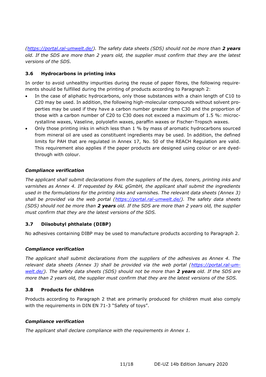*[\(https://portal.ral-umwelt.de/\)](about:blank). The safety data sheets (SDS) should not be more than 2 years old. If the SDS are more than 2 years old, the supplier must confirm that they are the latest versions of the SDS.*

#### <span id="page-10-0"></span>**3.6 Hydrocarbons in printing inks**

In order to avoid unhealthy impurities during the reuse of paper fibres, the following requirements should be fulfilled during the printing of products according to Paragraph 2:

- In the case of aliphatic hydrocarbons, only those substances with a chain length of C10 to C20 may be used. In addition, the following high-molecular compounds without solvent properties may be used if they have a carbon number greater then C30 and the proportion of those with a carbon number of C20 to C30 does not exceed a maximum of 1.5 %: microcrystalline waxes, Vaseline, polyolefin waxes, paraffin waxes or Fischer-Tropsch waxes.
- Only those printing inks in which less than 1 % by mass of aromatic hydrocarbons sourced from mineral oil are used as constituent ingredients may be used. In addition, the defined limits for PAH that are regulated in Annex 17, No. 50 of the REACH Regulation are valid. This requirement also applies if the paper products are designed using colour or are dyedthrough with colour.

#### *Compliance verification*

*The applicant shall submit declarations from the suppliers of the dyes, toners, printing inks and varnishes as Annex 4. If requested by RAL gGmbH, the applicant shall submit the ingredients used in the formulations for the printing inks and varnishes. The relevant data sheets (Annex 3) shall be provided via the web portal [\(https://portal.ral-umwelt.de/\)](about:blank). The safety data sheets (SDS) should not be more than 2 years old. If the SDS are more than 2 years old, the supplier must confirm that they are the latest versions of the SDS.*

#### <span id="page-10-1"></span>**3.7 Diisobutyl phthalate (DIBP)**

No adhesives containing DIBP may be used to manufacture products according to Paragraph 2.

#### *Compliance verification*

*The applicant shall submit declarations from the suppliers of the adhesives as Annex 4. The*  relevant data sheets (Annex 3) shall be provided via the web portal [\(https://portal.ral-um](about:blank)*[welt.de/\)](about:blank). The safety data sheets (SDS) should not be more than 2 years old. If the SDS are more than 2 years old, the supplier must confirm that they are the latest versions of the SDS.*

#### <span id="page-10-2"></span>**3.8 Products for children**

Products according to Paragraph 2 that are primarily produced for children must also comply with the requirements in DIN EN 71-3 "Safety of toys".

#### *Compliance verification*

*The applicant shall declare compliance with the requirements in Annex 1.*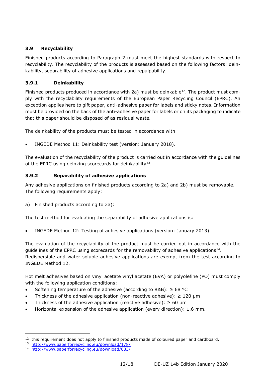## <span id="page-11-0"></span>**3.9 Recyclability**

Finished products according to Paragraph 2 must meet the highest standards with respect to recyclability. The recyclability of the products is assessed based on the following factors: deinkability, separability of adhesive applications and repulpability.

## <span id="page-11-1"></span>**3.9.1 Deinkability**

Finished products produced in accordance with 2a) must be deinkable<sup>12</sup>. The product must comply with the recyclability requirements of the European Paper Recycling Council (EPRC). An exception applies here to gift paper, anti-adhesive paper for labels and sticky notes. Information must be provided on the back of the anti-adhesive paper for labels or on its packaging to indicate that this paper should be disposed of as residual waste.

The deinkability of the products must be tested in accordance with

• INGEDE Method 11: Deinkability test (version: January 2018).

The evaluation of the recyclability of the product is carried out in accordance with the guidelines of the EPRC using deinking scorecards for deinkability<sup>13</sup>.

## <span id="page-11-2"></span>**3.9.2 Separability of adhesive applications**

Any adhesive applications on finished products according to 2a) and 2b) must be removable. The following requirements apply:

a) Finished products according to 2a):

The test method for evaluating the separability of adhesive applications is:

• INGEDE Method 12: Testing of adhesive applications (version: January 2013).

The evaluation of the recyclability of the product must be carried out in accordance with the guidelines of the EPRC using scorecards for the removability of adhesive applications<sup>14</sup>. Redispersible and water soluble adhesive applications are exempt from the test according to INGEDE Method 12.

Hot melt adhesives based on vinyl acetate vinyl acetate (EVA) or polyolefine (PO) must comply with the following application conditions:

- Softening temperature of the adhesive (according to R&B):  $\geq 68$  °C
- Thickness of the adhesive application (non-reactive adhesive):  $\geq 120 \mu m$
- Thickness of the adhesive application (reactive adhesive):  $\geq 60 \text{ }\mu\text{m}$
- Horizontal expansion of the adhesive application (every direction): 1.6 mm.

-

 $12$  this requirement does not apply to finished products made of coloured paper and cardboard.

<sup>13</sup> [http://www.paperforrecycling.eu/download/178/](about:blank)

<sup>14</sup> http://www.paperforrecycling.eu/download/633/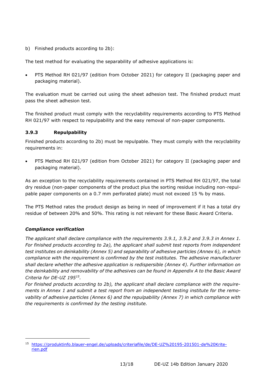b) Finished products according to 2b):

The test method for evaluating the separability of adhesive applications is:

• PTS Method RH 021/97 (edition from October 2021) for category II (packaging paper and packaging material).

The evaluation must be carried out using the sheet adhesion test. The finished product must pass the sheet adhesion test.

The finished product must comply with the recyclability requirements according to PTS Method RH 021/97 with respect to repulpability and the easy removal of non-paper components.

## <span id="page-12-0"></span>**3.9.3 Repulpability**

Finished products according to 2b) must be repulpable. They must comply with the recyclability requirements in:

• PTS Method RH 021/97 (edition from October 2021) for category II (packaging paper and packaging material).

As an exception to the recyclability requirements contained in PTS Method RH 021/97, the total dry residue (non-paper components of the product plus the sorting residue including non-repulpable paper components on a 0.7 mm perforated plate) must not exceed 15 % by mass.

The PTS Method rates the product design as being in need of improvement if it has a total dry residue of between 20% and 50%. This rating is not relevant for these Basic Award Criteria.

## *Compliance verification*

-

*The applicant shall declare compliance with the requirements 3.9.1, 3.9.2 and 3.9.3 in Annex 1. For finished products according to 2a), the applicant shall submit test reports from independent test institutes on deinkability (Annex 5) and separability of adhesive particles (Annex 6), in which compliance with the requirement is confirmed by the test institutes. The adhesive manufacturer shall declare whether the adhesive application is redispersible (Annex 4). Further information on the deinkability and removability of the adhesives can be found in Appendix A to the Basic Award Criteria for DE-UZ 195<sup>15</sup> .*

*For finished products according to 2b), the applicant shall declare compliance with the requirements in Annex 1 and submit a test report from an independent testing institute for the removability of adhesive particles (Annex 6) and the repulpability (Annex 7) in which compliance with the requirements is confirmed by the testing institute.*

<sup>15</sup> [https://produktinfo.blauer-engel.de/uploads/criteriafile/de/DE-UZ%20195-201501-de%20Krite](about:blank)[rien.pdf](about:blank)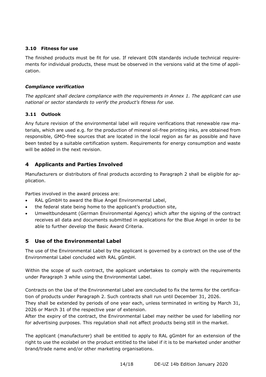#### <span id="page-13-0"></span>**3.10 Fitness for use**

The finished products must be fit for use. If relevant DIN standards include technical requirements for individual products, these must be observed in the versions valid at the time of application.

#### *Compliance verification*

*The applicant shall declare compliance with the requirements in Annex 1. The applicant can use national or sector standards to verify the product's fitness for use.*

## <span id="page-13-1"></span>**3.11 Outlook**

Any future revision of the environmental label will require verifications that renewable raw materials, which are used e.g. for the production of mineral oil-free printing inks, are obtained from responsible, GMO-free sources that are located in the local region as far as possible and have been tested by a suitable certification system. Requirements for energy consumption and waste will be added in the next revision.

## <span id="page-13-2"></span>**4 Applicants and Parties Involved**

Manufacturers or distributors of final products according to Paragraph 2 shall be eligible for application.

Parties involved in the award process are:

- RAL gGmbH to award the Blue Angel Environmental Label,
- the federal state being home to the applicant's production site,
- Umweltbundesamt (German Environmental Agency) which after the signing of the contract receives all data and documents submitted in applications for the Blue Angel in order to be able to further develop the Basic Award Criteria.

## <span id="page-13-3"></span>**5 Use of the Environmental Label**

The use of the Environmental Label by the applicant is governed by a contract on the use of the Environmental Label concluded with RAL gGmbH.

Within the scope of such contract, the applicant undertakes to comply with the requirements under Paragraph 3 while using the Environmental Label.

Contracts on the Use of the Environmental Label are concluded to fix the terms for the certification of products under Paragraph 2. Such contracts shall run until December 31, 2026.

They shall be extended by periods of one year each, unless terminated in writing by March 31, 2026 or March 31 of the respective year of extension.

After the expiry of the contract, the Environmental Label may neither be used for labelling nor for advertising purposes. This regulation shall not affect products being still in the market.

The applicant (manufacturer) shall be entitled to apply to RAL gGmbH for an extension of the right to use the ecolabel on the product entitled to the label if it is to be marketed under another brand/trade name and/or other marketing organisations.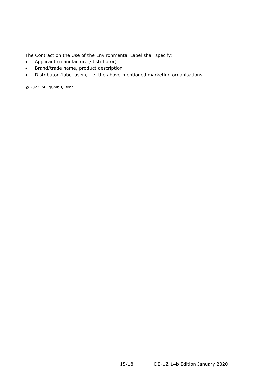The Contract on the Use of the Environmental Label shall specify:

- Applicant (manufacturer/distributor)
- Brand/trade name, product description
- Distributor (label user), i.e. the above-mentioned marketing organisations.

© 2022 RAL gGmbH, Bonn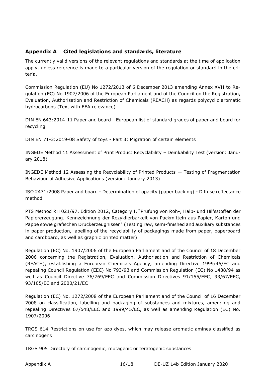## <span id="page-15-0"></span>**Appendix A Cited legislations and standards, literature**

The currently valid versions of the relevant regulations and standards at the time of application apply, unless reference is made to a particular version of the regulation or standard in the criteria.

Commission Regulation (EU) No 1272/2013 of 6 December 2013 amending Annex XVII to Regulation (EC) No 1907/2006 of the European Parliament and of the Council on the Registration, Evaluation, Authorisation and Restriction of Chemicals (REACH) as regards polycyclic aromatic hydrocarbons (Text with EEA relevance)

DIN EN 643:2014-11 Paper and board - European list of standard grades of paper and board for recycling

DIN EN 71-3:2019-08 Safety of toys - Part 3: Migration of certain elements

INGEDE Method 11 Assessment of Print Product Recyclability – Deinkability Test (version: January 2018)

INGEDE Method 12 Assessing the Recyclability of Printed Products — Testing of Fragmentation Behaviour of Adhesive Applications (version: January 2013)

ISO 2471:2008 Paper and board - Determination of opacity (paper backing) - Diffuse reflectance method

PTS Method RH 021/97, Edition 2012, Category I, "Prüfung von Roh-, Halb- und Hilfsstoffen der Papiererzeugung. Kennzeichnung der Rezyklierbarkeit von Packmitteln aus Papier, Karton und Pappe sowie grafischen Druckerzeugnissen" (Testing raw, semi-finished and auxiliary substances in paper production, labelling of the recyclability of packagings made from paper, paperboard and cardboard, as well as graphic printed matter)

Regulation (EC) No. 1907/2006 of the European Parliament and of the Council of 18 December 2006 concerning the Registration, Evaluation, Authorisation and Restriction of Chemicals (REACH), establishing a European Chemicals Agency, amending Directive 1999/45/EC and repealing Council Regulation (EEC) No 793/93 and Commission Regulation (EC) No 1488/94 as well as Council Directive 76/769/EEC and Commission Directives 91/155/EEC, 93/67/EEC, 93/105/EC and 2000/21/EC

Regulation (EC) No. 1272/2008 of the European Parliament and of the Council of 16 December 2008 on classification, labelling and packaging of substances and mixtures, amending and repealing Directives 67/548/EEC and 1999/45/EC, as well as amending Regulation (EC) No. 1907/2006

TRGS 614 Restrictions on use for azo dyes, which may release aromatic amines classified as carcinogens

TRGS 905 Directory of carcinogenic, mutagenic or teratogenic substances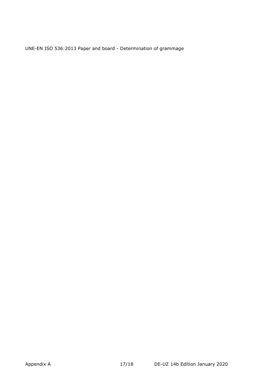UNE-EN ISO 536:2013 Paper and board - Determination of grammage